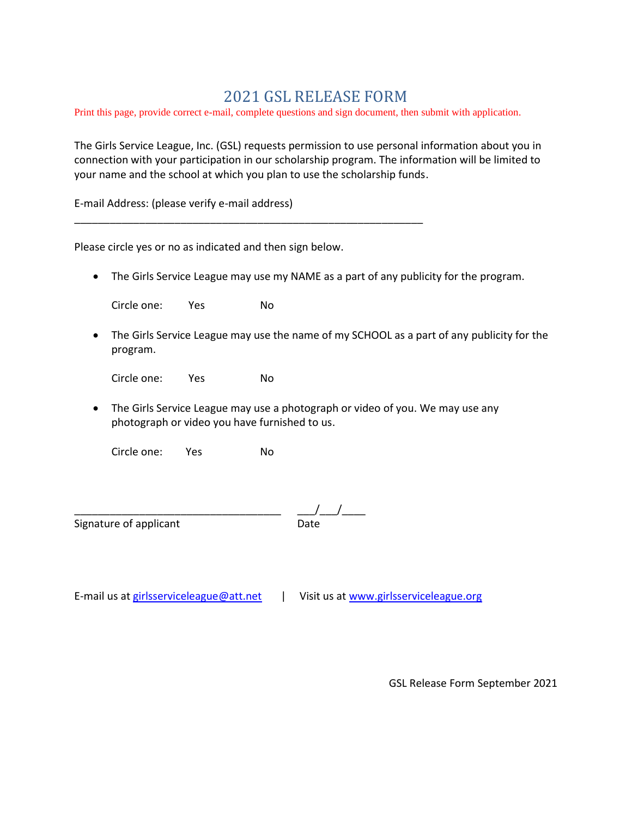## 2021 GSL RELEASE FORM

Print this page, provide correct e-mail, complete questions and sign document, then submit with application.

The Girls Service League, Inc. (GSL) requests permission to use personal information about you in connection with your participation in our scholarship program. The information will be limited to your name and the school at which you plan to use the scholarship funds.

E-mail Address: (please verify e-mail address)

Please circle yes or no as indicated and then sign below.

\_\_\_\_\_\_\_\_\_\_\_\_\_\_\_\_\_\_\_\_\_\_\_\_\_\_\_\_\_\_\_\_\_\_\_\_\_\_\_\_\_\_\_\_\_\_\_\_\_\_\_\_\_\_\_\_\_\_\_

• The Girls Service League may use my NAME as a part of any publicity for the program.

Circle one: Yes No

• The Girls Service League may use the name of my SCHOOL as a part of any publicity for the program.

Circle one: Yes No

• The Girls Service League may use a photograph or video of you. We may use any photograph or video you have furnished to us.

Circle one: Yes No

Signature of applicant Date

 $\begin{array}{@{}c@{\hspace{1em}}c@{\hspace{1em}}c@{\hspace{1em}}c@{\hspace{1em}}c@{\hspace{1em}}c@{\hspace{1em}}c@{\hspace{1em}}c@{\hspace{1em}}c@{\hspace{1em}}c@{\hspace{1em}}c@{\hspace{1em}}c@{\hspace{1em}}c@{\hspace{1em}}c@{\hspace{1em}}c@{\hspace{1em}}c@{\hspace{1em}}c@{\hspace{1em}}c@{\hspace{1em}}c@{\hspace{1em}}c@{\hspace{1em}}c@{\hspace{1em}}c@{\hspace{1em}}c@{\hspace{1em}}c@{\hspace{$ 

E-mail us at [girlsserviceleague@](mailto:girlsserviceleague)att.net | Visit us at [www.girlsserviceleague.org](http://www.girlsserviceleague.org/)

GSL Release Form September 2021